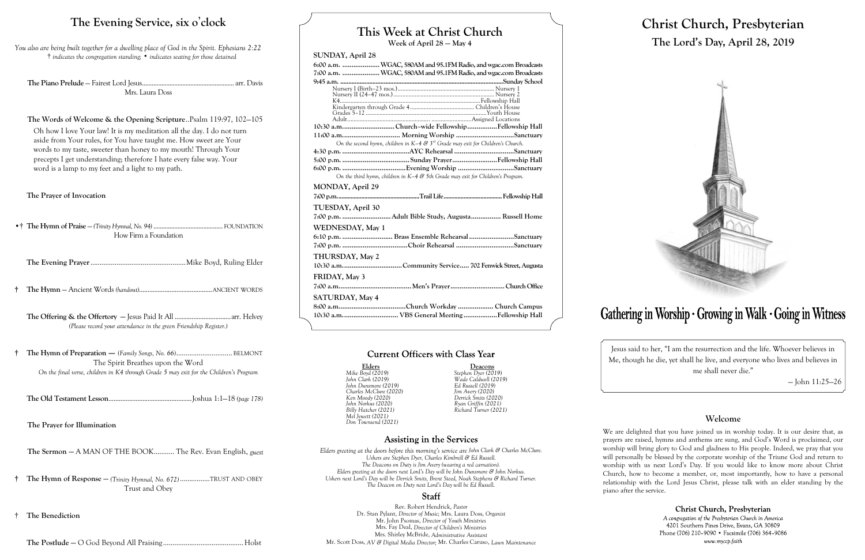# **This Week at Christ Church**

**Week of April 28 — May 4**

#### **SUNDAY, April 28**

|                   |                                                                                     | 6:00 a.m.  WGAC, 580AM and 95.1FM Radio, and wgac.com Broadcasts |
|-------------------|-------------------------------------------------------------------------------------|------------------------------------------------------------------|
|                   |                                                                                     | 7:00 a.m. WGAC, 580AM and 95.1FM Radio, and wgac.com Broadcasts  |
|                   |                                                                                     |                                                                  |
|                   |                                                                                     |                                                                  |
|                   |                                                                                     |                                                                  |
|                   |                                                                                     |                                                                  |
|                   |                                                                                     |                                                                  |
|                   |                                                                                     |                                                                  |
|                   |                                                                                     | 10:30 a.mChurch-wide FellowshipFellowship Hall                   |
|                   |                                                                                     |                                                                  |
|                   | On the second hymn, children in $K-4$ & $3rd$ Grade may exit for Children's Church. |                                                                  |
|                   |                                                                                     |                                                                  |
|                   |                                                                                     |                                                                  |
|                   |                                                                                     |                                                                  |
|                   | On the third hymn, children in $K-4$ & 5th Grade may exit for Children's Program.   |                                                                  |
| MONDAY, April 29  |                                                                                     |                                                                  |
|                   |                                                                                     |                                                                  |
|                   |                                                                                     |                                                                  |
| TUESDAY, April 30 |                                                                                     |                                                                  |
|                   |                                                                                     | 7:00 p.m. Adult Bible Study, Augusta Russell Home                |
| WEDNESDAY, May 1  |                                                                                     |                                                                  |
|                   |                                                                                     | 6:10 p.m.  Brass Ensemble Rehearsal Sanctuary                    |
|                   |                                                                                     |                                                                  |
| THURSDAY, May 2   |                                                                                     |                                                                  |
|                   |                                                                                     | 10:30 a.mCommunity Service 702 Fenwick Street, Augusta           |
| FRIDAY, May 3     |                                                                                     |                                                                  |
|                   |                                                                                     |                                                                  |
| SATURDAY, May 4   |                                                                                     |                                                                  |
|                   |                                                                                     |                                                                  |
|                   |                                                                                     | 10:30 a.m VBS General MeetingFellowship Hall                     |

# **Current Officers with Class Year**

**Elders Deacons** *Billy Hatcher (2021) Richard Turner (2021)*

# **Assisting in the Services**

*Mike Boyd (2019) Stephen Dyer (2019) John Clark (2019) Wade Caldwell (2019) John Dunsmore (2019) Ed Russell (2019) Charles McClure (2020) Jim Avery (2020) Ken Moody (2020) Derrick Smits (2020) John Norkus (2020) Ryan Griffin (2021) Mel Jewett (2021) Don Townsend (2021)*

*Elders greeting at the doors before this morning's service are John Clark & Charles McClure. Ushers are Stephen Dyer, Charles Kimbrell & Ed Russell. The Deacons on Duty is Jim Avery (wearing a red carnation). Elders greeting at the doors next Lord's Day will be John Dunsmore & John Norkus. Ushers next Lord's Day will be Derrick Smits, Brent Steed, Noah Stephens & Richard Turner. The Deacon on Duty next Lord's Day will be Ed Russell.*

### **Staff**

Rev. Robert Hendrick, *Pastor* Dr. Stan Pylant, *Director of Music;* Mrs. Laura Doss, *Organist* Mr. John Psomas, *Director of Youth Ministries* Mrs. Fay Deal, *Director of Children's Ministries* Mrs. Shirley McBride, *Administrative Assistant* Mr. Scott Doss, *AV & Digital Media Director;* Mr. Charles Caruso, *Lawn Maintenance*

# **Christ Church, Presbyterian The Lord's Day, April 28, 2019**



# Gathering in Worship · Growing in Walk · Going in Witness

Jesus said to her, "I am the resurrection and the life. Whoever believes in Me, though he die, yet shall he live, and everyone who lives and believes in me shall never die."

— John 11:25—26

### **Welcome**

Christ Church, Presbyterian A congregation of the Presbyterian Church in America 4201 Southern Pines Drive, Evans, GA 30809 Phone (706) 210-9090 • Facsimile (706) 364-9086 www.myccp.faith

We are delighted that you have joined us in worship today. It is our desire that, as prayers are raised, hymns and anthems are sung, and God's Word is proclaimed, our worship will bring glory to God and gladness to His people. Indeed, we pray that you will personally be blessed by the corporate worship of the Triune God and return to worship with us next Lord's Day. If you would like to know more about Christ Church, how to become a member, or, most importantly, how to have a personal relationship with the Lord Jesus Christ, please talk with an elder standing by the piano after the service.

# **The Evening Service, six o**'**clock**

*You also are being built together for a dwelling place of God in the Spirit. Ephesians 2:22* † *indicates the congregation standing;* • *indicates seating for those detained*

**The Piano Prelude** — Fairest Lord Jesus......................................................... arr. Davis Mrs. Laura Doss

#### **The Words of Welcome & the Opening Scripture**..Psalm 119:97, 102—105

Oh how I love Your law! It is my meditation all the day. I do not turn aside from Your rules, for You have taught me. How sweet are Your words to my taste, sweeter than honey to my mouth! Through Your precepts I get understanding; therefore I hate every false way. Your word is a lamp to my feet and a light to my path.

#### **The Prayer of Invocation**

•† **The Hymn of Praise** — *(Trinity Hymnal, No. 94)* ........................................... FOUNDATION How Firm a Foundation

- **The Evening Prayer**...................................................Mike Boyd, Ruling Elder
- **† The Hymn**  Ancient Words *(handout)*...........................................ANCIENT WORDS

**The Offering & the Offertory —** Jesus Paid It All .................................arr. Helvey *(Please record your attendance in the green Friendship Register.)*

**† The Hymn of Preparation** — *(Family Songs, No. 66)*.............................. BELMONT The Spirit Breathes upon the Word *On the final verse, children in K4 through Grade 5 may exit for the Children's Program*

**The Old Testament Lesson**.................................................Joshua 1:1—18 *(page 178)*

**The Prayer for Illumination**

**The Sermon —** A MAN OF THE BOOK........... The Rev. Evan English, *guest*

- **† The Hymn of Response —** *(Trinity Hymnal, No. 672)* ................TRUST AND OBEY Trust and Obey
- † **The Benediction**

**The Postlude —** O God Beyond All Praising ...........................................Holst